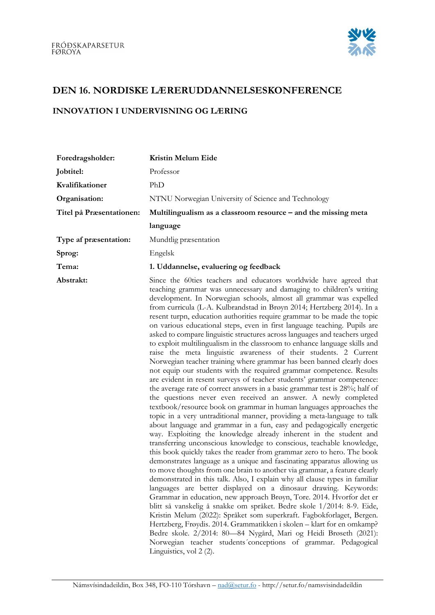

## DEN 16. NORDISKE LÆRERUDDANNELSESKONFERENCE

## INNOVATION I UNDERVISNING OG LÆRING

| Foredragsholder:         | Kristin Melum Eide                                                 |
|--------------------------|--------------------------------------------------------------------|
| Jobtitel:                | Professor                                                          |
| Kvalifikationer          | PhD                                                                |
| Organisation:            | NTNU Norwegian University of Science and Technology                |
| Titel på Præsentationen: | Multilingualism as a classroom resource – and the missing meta     |
|                          | language                                                           |
| Type af præsentation:    | Mundtlig præsentation                                              |
| Sprog:                   | Engelsk                                                            |
| Tema:                    | 1. Uddannelse, evaluering og feedback                              |
| Abstrakt:                | Since the 60ties teachers and educators worldwide have agreed that |

teaching grammar was unnecessary and damaging to children's writing development. In Norwegian schools, almost all grammar was expelled from curricula (L-A. Kulbrandstad in Brøyn 2014; Hertzberg 2014). In a resent turpn, education authorities require grammar to be made the topic on various educational steps, even in first language teaching. Pupils are asked to compare linguistic structures across languages and teachers urged to exploit multilingualism in the classroom to enhance language skills and raise the meta linguistic awareness of their students. 2 Current Norwegian teacher training where grammar has been banned clearly does not equip our students with the required grammar competence. Results are evident in resent surveys of teacher students' grammar competence: the average rate of correct answers in a basic grammar test is 28%; half of the questions never even received an answer. A newly completed textbook/resource book on grammar in human languages approaches the topic in a very untraditional manner, providing a meta-language to talk about language and grammar in a fun, easy and pedagogically energetic way. Exploiting the knowledge already inherent in the student and transferring unconscious knowledge to conscious, teachable knowledge, this book quickly takes the reader from grammar zero to hero. The book demonstrates language as a unique and fascinating apparatus allowing us to move thoughts from one brain to another via grammar, a feature clearly demonstrated in this talk. Also, I explain why all clause types in familiar languages are better displayed on a dinosaur drawing. Keywords: Grammar in education, new approach Brøyn, Tore. 2014. Hvorfor det er blitt så vanskelig å snakke om språket. Bedre skole 1/2014: 8-9. Eide, Kristin Melum (2022): Språket som superkraft. Fagbokforlaget, Bergen. Hertzberg, Frøydis. 2014. Grammatikken i skolen – klart for en omkamp? Bedre skole. 2/2014: 80—84 Nygård, Mari og Heidi Brøseth (2021): Norwegian teacher students´conceptions of grammar. Pedagogical Linguistics, vol 2 (2).